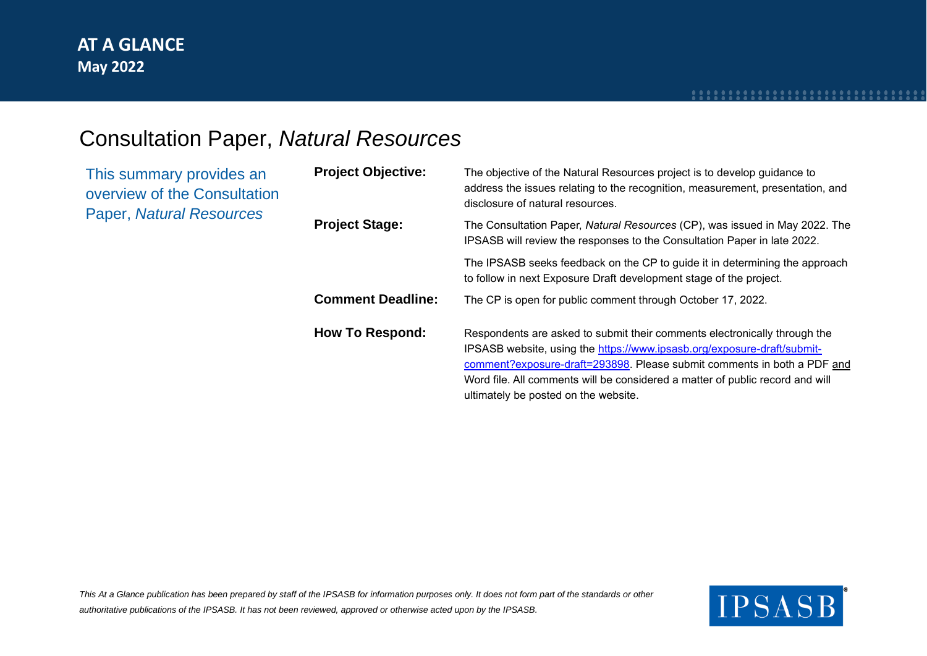### Consultation Paper, *Natural Resources*

| This summary provides an<br>overview of the Consultation<br>Paper, Natural Resources | <b>Project Objective:</b> | The objective of the Natural Resources project is to develop guidance to<br>address the issues relating to the recognition, measurement, presentation, and<br>disclosure of natural resources.                                                                                                                                                           |
|--------------------------------------------------------------------------------------|---------------------------|----------------------------------------------------------------------------------------------------------------------------------------------------------------------------------------------------------------------------------------------------------------------------------------------------------------------------------------------------------|
|                                                                                      | <b>Project Stage:</b>     | The Consultation Paper, Natural Resources (CP), was issued in May 2022. The<br>IPSASB will review the responses to the Consultation Paper in late 2022.                                                                                                                                                                                                  |
|                                                                                      |                           | The IPSASB seeks feedback on the CP to guide it in determining the approach<br>to follow in next Exposure Draft development stage of the project.                                                                                                                                                                                                        |
|                                                                                      | <b>Comment Deadline:</b>  | The CP is open for public comment through October 17, 2022.                                                                                                                                                                                                                                                                                              |
|                                                                                      | <b>How To Respond:</b>    | Respondents are asked to submit their comments electronically through the<br>IPSASB website, using the https://www.ipsasb.org/exposure-draft/submit-<br>comment?exposure-draft=293898. Please submit comments in both a PDF and<br>Word file. All comments will be considered a matter of public record and will<br>ultimately be posted on the website. |

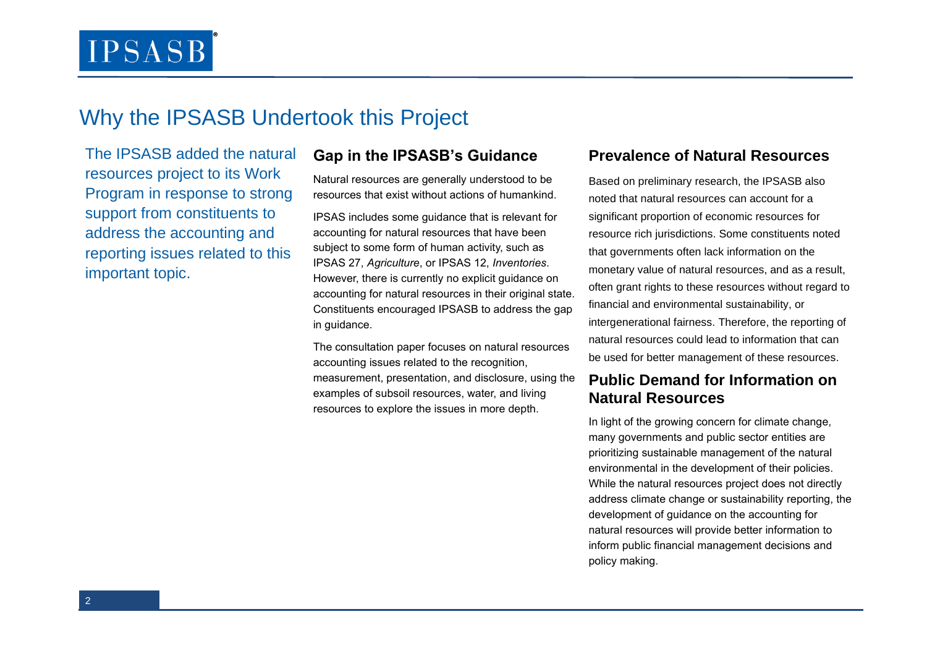### Why the IPSASB Undertook this Project

The IPSASB added the natural resources project to its Work Program in response to strong support from constituents to address the accounting and reporting issues related to this important topic.

#### **Gap in the IPSASB's Guidance**

Natural resources are generally understood to be resources that exist without actions of humankind.

IPSAS includes some guidance that is relevant for accounting for natural resources that have been subject to some form of human activity, such as IPSAS 27, *Agriculture*, or IPSAS 12, *Inventories*. However, there is currently no explicit guidance on accounting for natural resources in their original state. Constituents encouraged IPSASB to address the gap in guidance.

The consultation paper focuses on natural resources accounting issues related to the recognition, measurement, presentation, and disclosure, using the examples of subsoil resources, water, and living resources to explore the issues in more depth.

#### **Prevalence of Natural Resources**

Based on preliminary research, the IPSASB also noted that natural resources can account for a significant proportion of economic resources for resource rich jurisdictions. Some constituents noted that governments often lack information on the monetary value of natural resources, and as a result, often grant rights to these resources without regard to financial and environmental sustainability, or intergenerational fairness. Therefore, the reporting of natural resources could lead to information that can be used for better management of these resources.

#### **Public Demand for Information on Natural Resources**

In light of the growing concern for climate change. many governments and public sector entities are prioritizing sustainable management of the natural environmental in the development of their policies. While the natural resources project does not directly address climate change or sustainability reporting, the development of guidance on the accounting for natural resources will provide better information to inform public financial management decisions and policy making.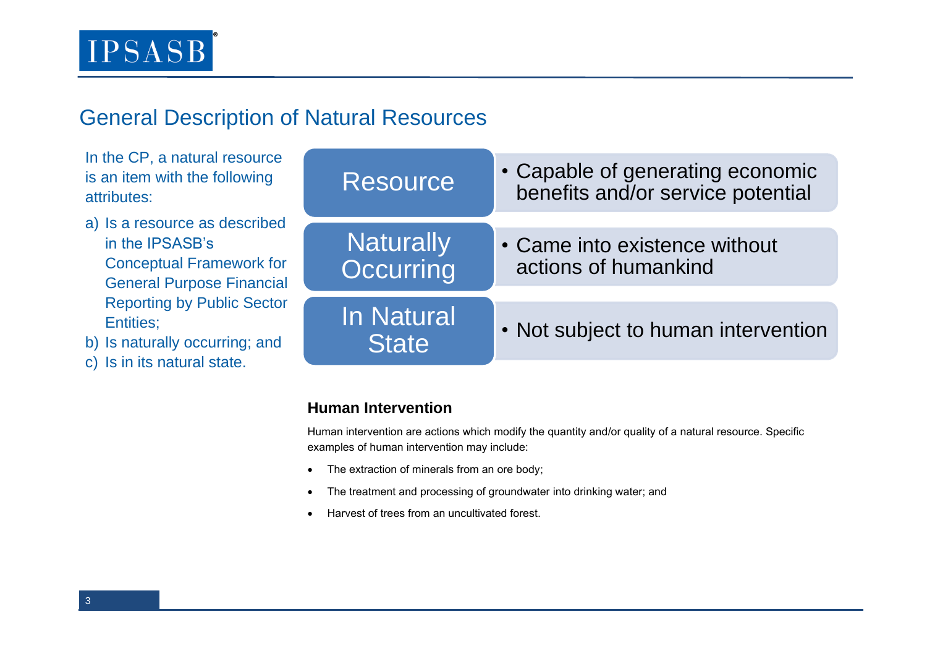## General Description of Natural Resources

In the CP, a natural resource is an item with the following attributes:

- a) Is a resource as described in the IPSASB's Conceptual Framework for General Purpose Financial Reporting by Public Sector Entities;
- b) Is naturally occurring; and
- c) Is in its natural state.

| <b>Resource</b>            | • Capable of generating economic<br>benefits and/or service potential |
|----------------------------|-----------------------------------------------------------------------|
| Naturally<br>Occurring     | • Came into existence without<br>actions of humankind                 |
| In Natural<br><b>State</b> | • Not subject to human intervention                                   |

### **Human Intervention**

Human intervention are actions which modify the quantity and/or quality of a natural resource. Specific examples of human intervention may include:

- The extraction of minerals from an ore body;
- The treatment and processing of groundwater into drinking water; and
- Harvest of trees from an uncultivated forest.

3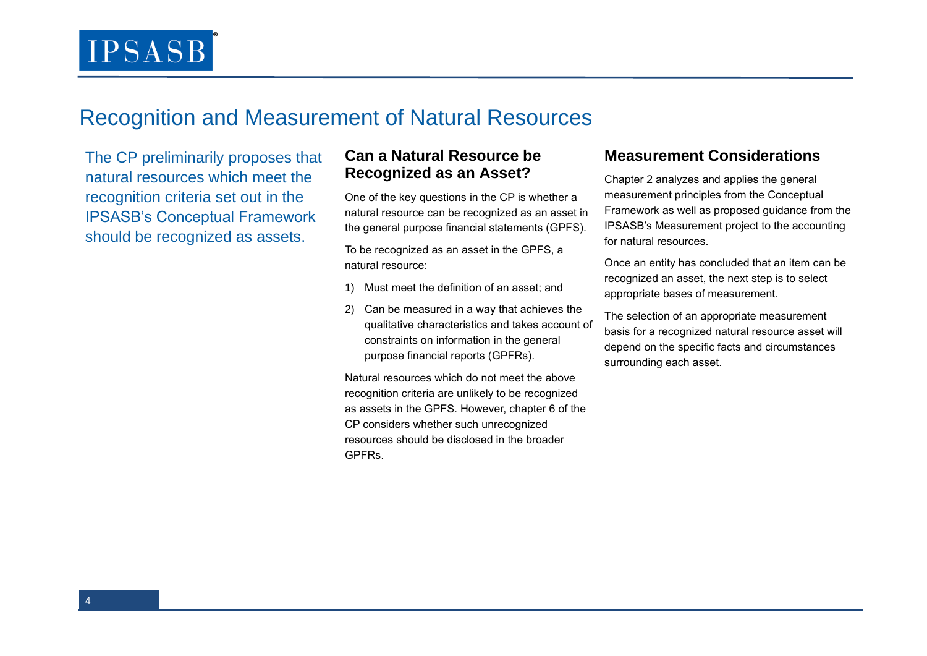### Recognition and Measurement of Natural Resources

The CP preliminarily proposes that natural resources which meet the recognition criteria set out in the IPSASB's Conceptual Framework should be recognized as assets.

#### **Can a Natural Resource be Recognized as an Asset?**

One of the key questions in the CP is whether a natural resource can be recognized as an asset in the general purpose financial statements (GPFS).

To be recognized as an asset in the GPFS, a natural resource:

- 1) Must meet the definition of an asset; and
- 2) Can be measured in a way that achieves the qualitative characteristics and takes account of constraints on information in the general purpose financial reports (GPFRs).

Natural resources which do not meet the above recognition criteria are unlikely to be recognized as assets in the GPFS. However, chapter 6 of the CP considers whether such unrecognized resources should be disclosed in the broader GPFRs.

### **Measurement Considerations**

Chapter 2 analyzes and applies the general measurement principles from the Conceptual Framework as well as proposed guidance from the IPSASB's Measurement project to the accounting for natural resources.

Once an entity has concluded that an item can be recognized an asset, the next step is to select appropriate bases of measurement.

The selection of an appropriate measurement basis for a recognized natural resource asset will depend on the specific facts and circumstances surrounding each asset.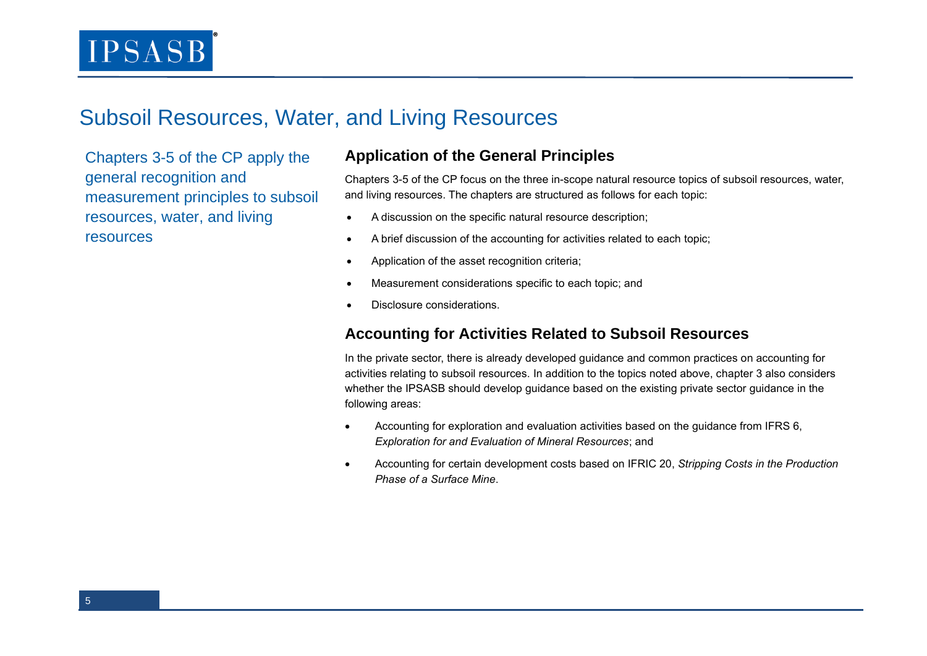### Subsoil Resources, Water, and Living Resources

Chapters 3-5 of the CP apply the general recognition and measurement principles to subsoil resources, water, and living resources

### **Application of the General Principles**

Chapters 3-5 of the CP focus on the three in-scope natural resource topics of subsoil resources, water, and living resources. The chapters are structured as follows for each topic:

- A discussion on the specific natural resource description;
- A brief discussion of the accounting for activities related to each topic;
- Application of the asset recognition criteria;
- Measurement considerations specific to each topic; and
- Disclosure considerations.

### **Accounting for Activities Related to Subsoil Resources**

In the private sector, there is already developed guidance and common practices on accounting for activities relating to subsoil resources. In addition to the topics noted above, chapter 3 also considers whether the IPSASB should develop guidance based on the existing private sector guidance in the following areas:

- Accounting for exploration and evaluation activities based on the guidance from IFRS 6, *Exploration for and Evaluation of Mineral Resources*; and
- Accounting for certain development costs based on IFRIC 20, *Stripping Costs in the Production Phase of a Surface Mine*.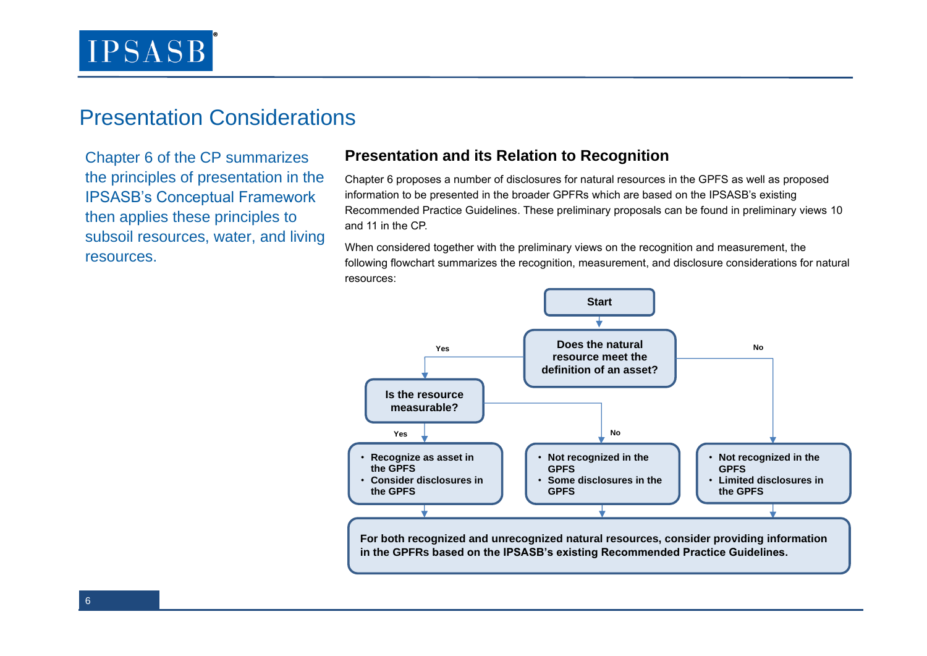### Presentation Considerations

Chapter 6 of the CP summarizes the principles of presentation in the IPSASB's Conceptual Framework then applies these principles to subsoil resources, water, and living resources.

### **Presentation and its Relation to Recognition**

Chapter 6 proposes a number of disclosures for natural resources in the GPFS as well as proposed information to be presented in the broader GPFRs which are based on the IPSASB's existing Recommended Practice Guidelines. These preliminary proposals can be found in preliminary views 10 and 11 in the CP.

When considered together with the preliminary views on the recognition and measurement, the following flowchart summarizes the recognition, measurement, and disclosure considerations for natural resources: